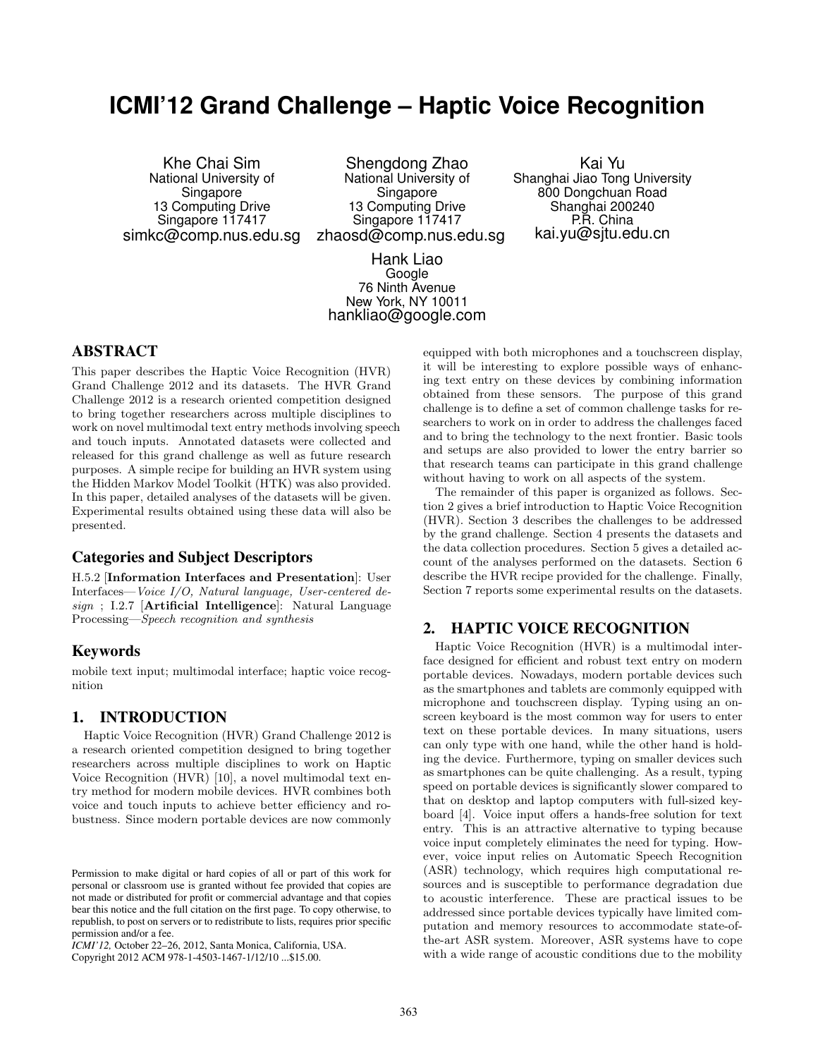# **ICMI'12 Grand Challenge – Haptic Voice Recognition**

Khe Chai Sim National University of Singapore 13 Computing Drive Singapore 117417 simkc@comp.nus.edu.sg

Shengdong Zhao National University of Singapore 13 Computing Drive Singapore 117417 zhaosd@comp.nus.edu.sg

Hank Liao Google 76 Ninth Avenue New York, NY 10011 hankliao@google.com

Kai Yu Shanghai Jiao Tong University 800 Dongchuan Road Shanghai 200240 P.R. China kai.yu@sjtu.edu.cn

## ABSTRACT

This paper describes the Haptic Voice Recognition (HVR) Grand Challenge 2012 and its datasets. The HVR Grand Challenge 2012 is a research oriented competition designed to bring together researchers across multiple disciplines to work on novel multimodal text entry methods involving speech and touch inputs. Annotated datasets were collected and released for this grand challenge as well as future research purposes. A simple recipe for building an HVR system using the Hidden Markov Model Toolkit (HTK) was also provided. In this paper, detailed analyses of the datasets will be given. Experimental results obtained using these data will also be presented.

#### Categories and Subject Descriptors

H.5.2 [Information Interfaces and Presentation]: User Interfaces—Voice I/O, Natural language, User-centered design ; I.2.7 [Artificial Intelligence]: Natural Language Processing—Speech recognition and synthesis

## Keywords

mobile text input; multimodal interface; haptic voice recognition

#### 1. INTRODUCTION

Haptic Voice Recognition (HVR) Grand Challenge 2012 is a research oriented competition designed to bring together researchers across multiple disciplines to work on Haptic Voice Recognition (HVR) [10], a novel multimodal text entry method for modern mobile devices. HVR combines both voice and touch inputs to achieve better efficiency and robustness. Since modern portable devices are now commonly

*ICMI'12,* October 22–26, 2012, Santa Monica, California, USA.

equipped with both microphones and a touchscreen display, it will be interesting to explore possible ways of enhancing text entry on these devices by combining information obtained from these sensors. The purpose of this grand challenge is to define a set of common challenge tasks for researchers to work on in order to address the challenges faced and to bring the technology to the next frontier. Basic tools and setups are also provided to lower the entry barrier so that research teams can participate in this grand challenge without having to work on all aspects of the system.

The remainder of this paper is organized as follows. Section 2 gives a brief introduction to Haptic Voice Recognition (HVR). Section 3 describes the challenges to be addressed by the grand challenge. Section 4 presents the datasets and the data collection procedures. Section 5 gives a detailed account of the analyses performed on the datasets. Section 6 describe the HVR recipe provided for the challenge. Finally, Section 7 reports some experimental results on the datasets.

## 2. HAPTIC VOICE RECOGNITION

Haptic Voice Recognition (HVR) is a multimodal interface designed for efficient and robust text entry on modern portable devices. Nowadays, modern portable devices such as the smartphones and tablets are commonly equipped with microphone and touchscreen display. Typing using an onscreen keyboard is the most common way for users to enter text on these portable devices. In many situations, users can only type with one hand, while the other hand is holding the device. Furthermore, typing on smaller devices such as smartphones can be quite challenging. As a result, typing speed on portable devices is significantly slower compared to that on desktop and laptop computers with full-sized keyboard [4]. Voice input offers a hands-free solution for text entry. This is an attractive alternative to typing because voice input completely eliminates the need for typing. However, voice input relies on Automatic Speech Recognition (ASR) technology, which requires high computational resources and is susceptible to performance degradation due to acoustic interference. These are practical issues to be addressed since portable devices typically have limited computation and memory resources to accommodate state-ofthe-art ASR system. Moreover, ASR systems have to cope with a wide range of acoustic conditions due to the mobility

Permission to make digital or hard copies of all or part of this work for personal or classroom use is granted without fee provided that copies are not made or distributed for profit or commercial advantage and that copies bear this notice and the full citation on the first page. To copy otherwise, to republish, to post on servers or to redistribute to lists, requires prior specific permission and/or a fee.

Copyright 2012 ACM 978-1-4503-1467-1/12/10 ...\$15.00.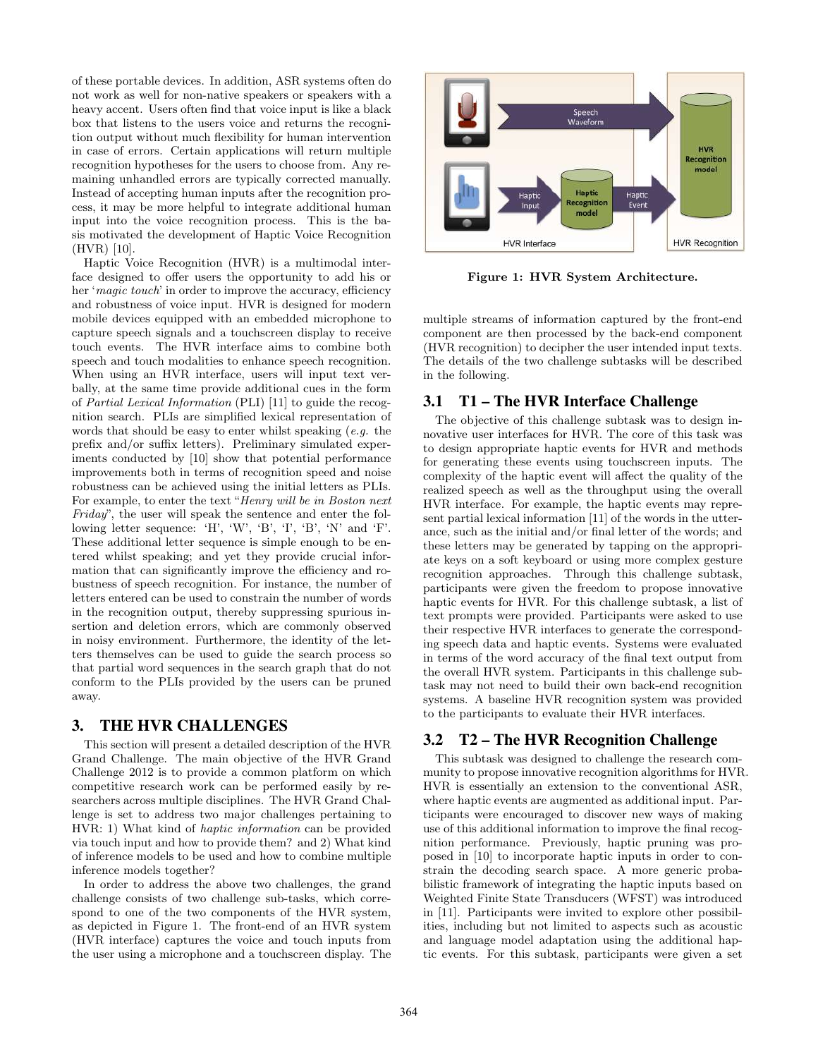of these portable devices. In addition, ASR systems often do not work as well for non-native speakers or speakers with a heavy accent. Users often find that voice input is like a black box that listens to the users voice and returns the recognition output without much flexibility for human intervention in case of errors. Certain applications will return multiple recognition hypotheses for the users to choose from. Any remaining unhandled errors are typically corrected manually. Instead of accepting human inputs after the recognition process, it may be more helpful to integrate additional human input into the voice recognition process. This is the basis motivated the development of Haptic Voice Recognition (HVR) [10].

Haptic Voice Recognition (HVR) is a multimodal interface designed to offer users the opportunity to add his or her '*magic touch*' in order to improve the accuracy, efficiency and robustness of voice input. HVR is designed for modern mobile devices equipped with an embedded microphone to capture speech signals and a touchscreen display to receive touch events. The HVR interface aims to combine both speech and touch modalities to enhance speech recognition. When using an HVR interface, users will input text verbally, at the same time provide additional cues in the form of Partial Lexical Information (PLI) [11] to guide the recognition search. PLIs are simplified lexical representation of words that should be easy to enter whilst speaking  $(e.g., the$ prefix and/or suffix letters). Preliminary simulated experiments conducted by [10] show that potential performance improvements both in terms of recognition speed and noise robustness can be achieved using the initial letters as PLIs. For example, to enter the text "Henry will be in Boston next Friday", the user will speak the sentence and enter the following letter sequence: 'H', 'W', 'B', 'I', 'B', 'N' and 'F'. These additional letter sequence is simple enough to be entered whilst speaking; and yet they provide crucial information that can significantly improve the efficiency and robustness of speech recognition. For instance, the number of letters entered can be used to constrain the number of words in the recognition output, thereby suppressing spurious insertion and deletion errors, which are commonly observed in noisy environment. Furthermore, the identity of the letters themselves can be used to guide the search process so that partial word sequences in the search graph that do not conform to the PLIs provided by the users can be pruned away.

## 3. THE HVR CHALLENGES

This section will present a detailed description of the HVR Grand Challenge. The main objective of the HVR Grand Challenge 2012 is to provide a common platform on which competitive research work can be performed easily by researchers across multiple disciplines. The HVR Grand Challenge is set to address two major challenges pertaining to HVR: 1) What kind of haptic information can be provided via touch input and how to provide them? and 2) What kind of inference models to be used and how to combine multiple inference models together?

In order to address the above two challenges, the grand challenge consists of two challenge sub-tasks, which correspond to one of the two components of the HVR system, as depicted in Figure 1. The front-end of an HVR system (HVR interface) captures the voice and touch inputs from the user using a microphone and a touchscreen display. The



Figure 1: HVR System Architecture.

multiple streams of information captured by the front-end component are then processed by the back-end component (HVR recognition) to decipher the user intended input texts. The details of the two challenge subtasks will be described in the following.

#### 3.1 T1 – The HVR Interface Challenge

The objective of this challenge subtask was to design innovative user interfaces for HVR. The core of this task was to design appropriate haptic events for HVR and methods for generating these events using touchscreen inputs. The complexity of the haptic event will affect the quality of the realized speech as well as the throughput using the overall HVR interface. For example, the haptic events may represent partial lexical information [11] of the words in the utterance, such as the initial and/or final letter of the words; and these letters may be generated by tapping on the appropriate keys on a soft keyboard or using more complex gesture recognition approaches. Through this challenge subtask, participants were given the freedom to propose innovative haptic events for HVR. For this challenge subtask, a list of text prompts were provided. Participants were asked to use their respective HVR interfaces to generate the corresponding speech data and haptic events. Systems were evaluated in terms of the word accuracy of the final text output from the overall HVR system. Participants in this challenge subtask may not need to build their own back-end recognition systems. A baseline HVR recognition system was provided to the participants to evaluate their HVR interfaces.

#### 3.2 T2 – The HVR Recognition Challenge

This subtask was designed to challenge the research community to propose innovative recognition algorithms for HVR. HVR is essentially an extension to the conventional ASR, where haptic events are augmented as additional input. Participants were encouraged to discover new ways of making use of this additional information to improve the final recognition performance. Previously, haptic pruning was proposed in [10] to incorporate haptic inputs in order to constrain the decoding search space. A more generic probabilistic framework of integrating the haptic inputs based on Weighted Finite State Transducers (WFST) was introduced in [11]. Participants were invited to explore other possibilities, including but not limited to aspects such as acoustic and language model adaptation using the additional haptic events. For this subtask, participants were given a set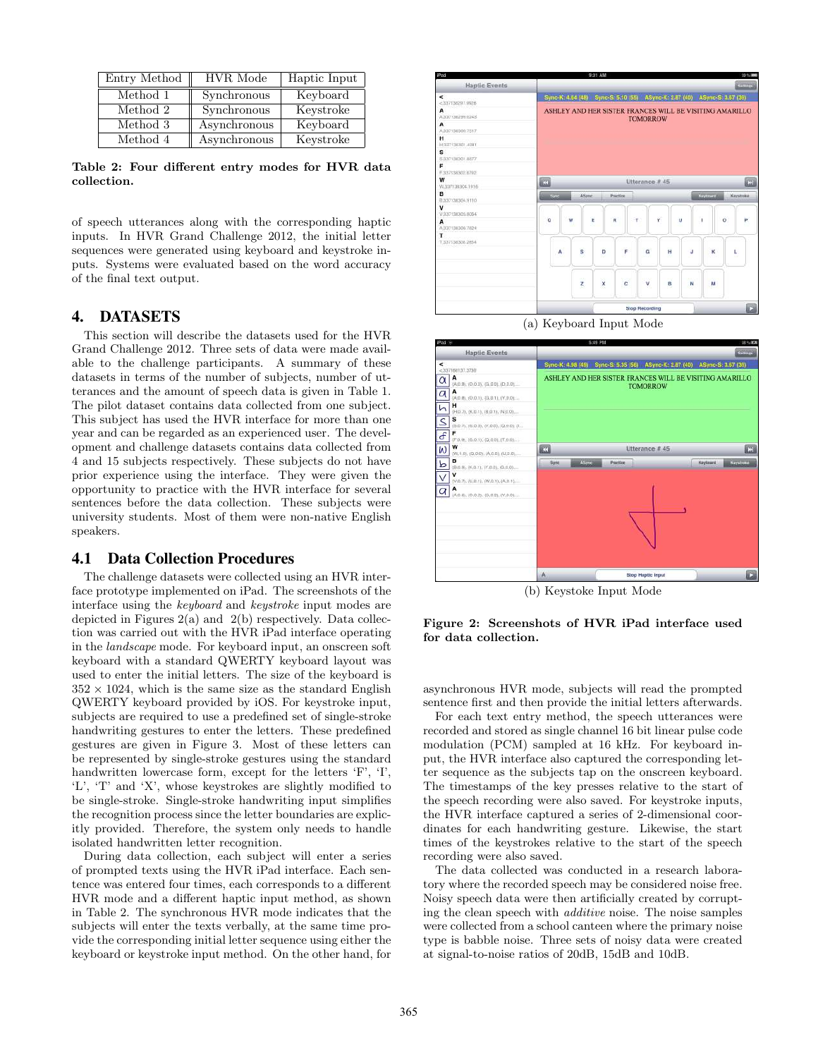| Entry Method | HVR Mode     | Haptic Input |
|--------------|--------------|--------------|
| Method 1     | Synchronous  | Keyboard     |
| Method 2     | Synchronous  | Keystroke    |
| Method 3     | Asynchronous | Keyboard     |
| Method 4     | Asynchronous | Keystroke    |

Table 2: Four different entry modes for HVR data collection.

of speech utterances along with the corresponding haptic inputs. In HVR Grand Challenge 2012, the initial letter sequences were generated using keyboard and keystroke inputs. Systems were evaluated based on the word accuracy of the final text output.

#### 4. DATASETS

This section will describe the datasets used for the HVR Grand Challenge 2012. Three sets of data were made available to the challenge participants. A summary of these datasets in terms of the number of subjects, number of utterances and the amount of speech data is given in Table 1. The pilot dataset contains data collected from one subject. This subject has used the HVR interface for more than one year and can be regarded as an experienced user. The development and challenge datasets contains data collected from 4 and 15 subjects respectively. These subjects do not have prior experience using the interface. They were given the opportunity to practice with the HVR interface for several sentences before the data collection. These subjects were university students. Most of them were non-native English speakers.

#### 4.1 Data Collection Procedures

The challenge datasets were collected using an HVR interface prototype implemented on iPad. The screenshots of the interface using the keyboard and keystroke input modes are depicted in Figures  $2(a)$  and  $2(b)$  respectively. Data collection was carried out with the HVR iPad interface operating in the landscape mode. For keyboard input, an onscreen soft keyboard with a standard QWERTY keyboard layout was used to enter the initial letters. The size of the keyboard is  $352 \times 1024$ , which is the same size as the standard English QWERTY keyboard provided by iOS. For keystroke input, subjects are required to use a predefined set of single-stroke handwriting gestures to enter the letters. These predefined gestures are given in Figure 3. Most of these letters can be represented by single-stroke gestures using the standard handwritten lowercase form, except for the letters 'F', 'I', 'L', 'T' and 'X', whose keystrokes are slightly modified to be single-stroke. Single-stroke handwriting input simplifies the recognition process since the letter boundaries are explicitly provided. Therefore, the system only needs to handle isolated handwritten letter recognition.

During data collection, each subject will enter a series of prompted texts using the HVR iPad interface. Each sentence was entered four times, each corresponds to a different HVR mode and a different haptic input method, as shown in Table 2. The synchronous HVR mode indicates that the subjects will enter the texts verbally, at the same time provide the corresponding initial letter sequence using either the keyboard or keystroke input method. On the other hand, for



(a) Keyboard Input Mode



(b) Keystoke Input Mode

Figure 2: Screenshots of HVR iPad interface used for data collection.

asynchronous HVR mode, subjects will read the prompted sentence first and then provide the initial letters afterwards.

For each text entry method, the speech utterances were recorded and stored as single channel 16 bit linear pulse code modulation (PCM) sampled at 16 kHz. For keyboard input, the HVR interface also captured the corresponding letter sequence as the subjects tap on the onscreen keyboard. The timestamps of the key presses relative to the start of the speech recording were also saved. For keystroke inputs, the HVR interface captured a series of 2-dimensional coordinates for each handwriting gesture. Likewise, the start times of the keystrokes relative to the start of the speech recording were also saved.

The data collected was conducted in a research laboratory where the recorded speech may be considered noise free. Noisy speech data were then artificially created by corrupting the clean speech with additive noise. The noise samples were collected from a school canteen where the primary noise type is babble noise. Three sets of noisy data were created at signal-to-noise ratios of 20dB, 15dB and 10dB.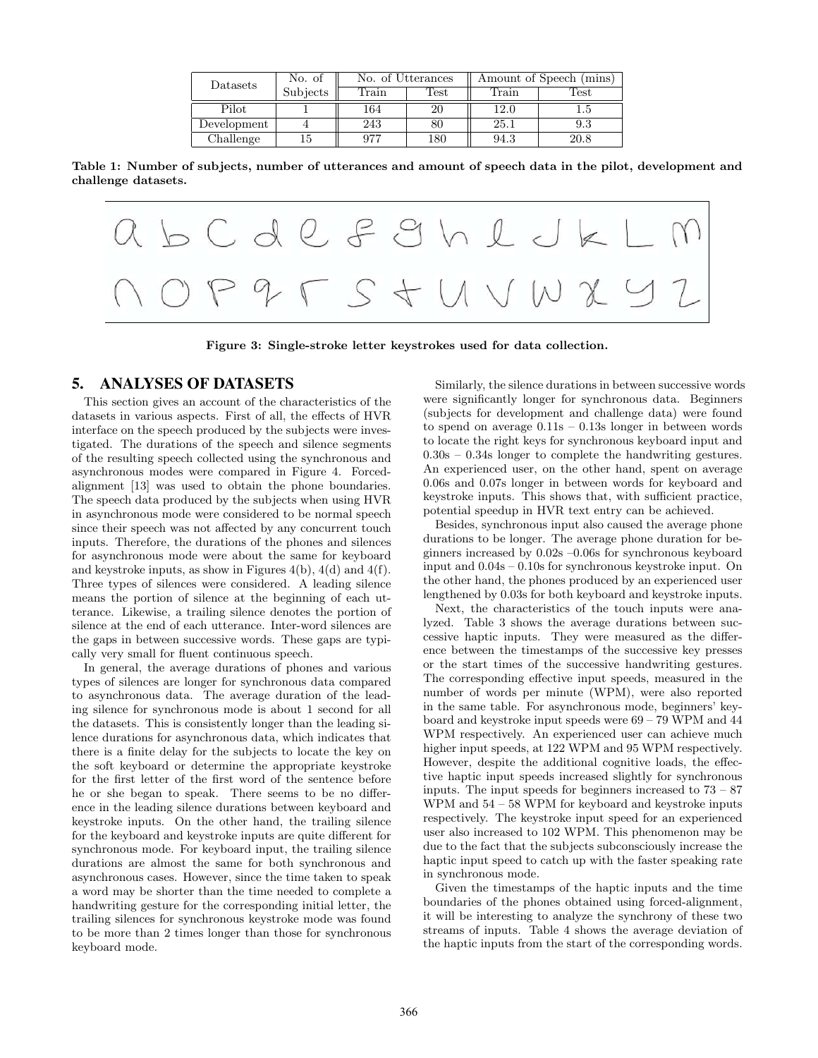| <b>Datasets</b> | No. of   | No. of Utterances |      | Amount of Speech (mins) |             |
|-----------------|----------|-------------------|------|-------------------------|-------------|
|                 | Subjects | Train             | Test | Train                   | <b>Test</b> |
| Pilot           |          | 164               | 20   | 12.0                    | L.b         |
| Development     |          | 243               | 80   | 25.1                    | 9.3         |
| Challenge       | 15       | 977               | 180  | 94.3                    | 20.8        |

Table 1: Number of subjects, number of utterances and amount of speech data in the pilot, development and challenge datasets.



Figure 3: Single-stroke letter keystrokes used for data collection.

#### 5. ANALYSES OF DATASETS

This section gives an account of the characteristics of the datasets in various aspects. First of all, the effects of HVR interface on the speech produced by the subjects were investigated. The durations of the speech and silence segments of the resulting speech collected using the synchronous and asynchronous modes were compared in Figure 4. Forcedalignment [13] was used to obtain the phone boundaries. The speech data produced by the subjects when using HVR in asynchronous mode were considered to be normal speech since their speech was not affected by any concurrent touch inputs. Therefore, the durations of the phones and silences for asynchronous mode were about the same for keyboard and keystroke inputs, as show in Figures  $4(b)$ ,  $4(d)$  and  $4(f)$ . Three types of silences were considered. A leading silence means the portion of silence at the beginning of each utterance. Likewise, a trailing silence denotes the portion of silence at the end of each utterance. Inter-word silences are the gaps in between successive words. These gaps are typically very small for fluent continuous speech.

In general, the average durations of phones and various types of silences are longer for synchronous data compared to asynchronous data. The average duration of the leading silence for synchronous mode is about 1 second for all the datasets. This is consistently longer than the leading silence durations for asynchronous data, which indicates that there is a finite delay for the subjects to locate the key on the soft keyboard or determine the appropriate keystroke for the first letter of the first word of the sentence before he or she began to speak. There seems to be no difference in the leading silence durations between keyboard and keystroke inputs. On the other hand, the trailing silence for the keyboard and keystroke inputs are quite different for synchronous mode. For keyboard input, the trailing silence durations are almost the same for both synchronous and asynchronous cases. However, since the time taken to speak a word may be shorter than the time needed to complete a handwriting gesture for the corresponding initial letter, the trailing silences for synchronous keystroke mode was found to be more than 2 times longer than those for synchronous keyboard mode.

Similarly, the silence durations in between successive words were significantly longer for synchronous data. Beginners (subjects for development and challenge data) were found to spend on average  $0.11s - 0.13s$  longer in between words to locate the right keys for synchronous keyboard input and 0.30s – 0.34s longer to complete the handwriting gestures. An experienced user, on the other hand, spent on average 0.06s and 0.07s longer in between words for keyboard and keystroke inputs. This shows that, with sufficient practice, potential speedup in HVR text entry can be achieved.

Besides, synchronous input also caused the average phone durations to be longer. The average phone duration for beginners increased by 0.02s –0.06s for synchronous keyboard input and 0.04s – 0.10s for synchronous keystroke input. On the other hand, the phones produced by an experienced user lengthened by 0.03s for both keyboard and keystroke inputs.

Next, the characteristics of the touch inputs were analyzed. Table 3 shows the average durations between successive haptic inputs. They were measured as the difference between the timestamps of the successive key presses or the start times of the successive handwriting gestures. The corresponding effective input speeds, measured in the number of words per minute (WPM), were also reported in the same table. For asynchronous mode, beginners' keyboard and keystroke input speeds were 69 – 79 WPM and 44 WPM respectively. An experienced user can achieve much higher input speeds, at 122 WPM and 95 WPM respectively. However, despite the additional cognitive loads, the effective haptic input speeds increased slightly for synchronous inputs. The input speeds for beginners increased to  $73 - 87$ WPM and 54 – 58 WPM for keyboard and keystroke inputs respectively. The keystroke input speed for an experienced user also increased to 102 WPM. This phenomenon may be due to the fact that the subjects subconsciously increase the haptic input speed to catch up with the faster speaking rate in synchronous mode.

Given the timestamps of the haptic inputs and the time boundaries of the phones obtained using forced-alignment, it will be interesting to analyze the synchrony of these two streams of inputs. Table 4 shows the average deviation of the haptic inputs from the start of the corresponding words.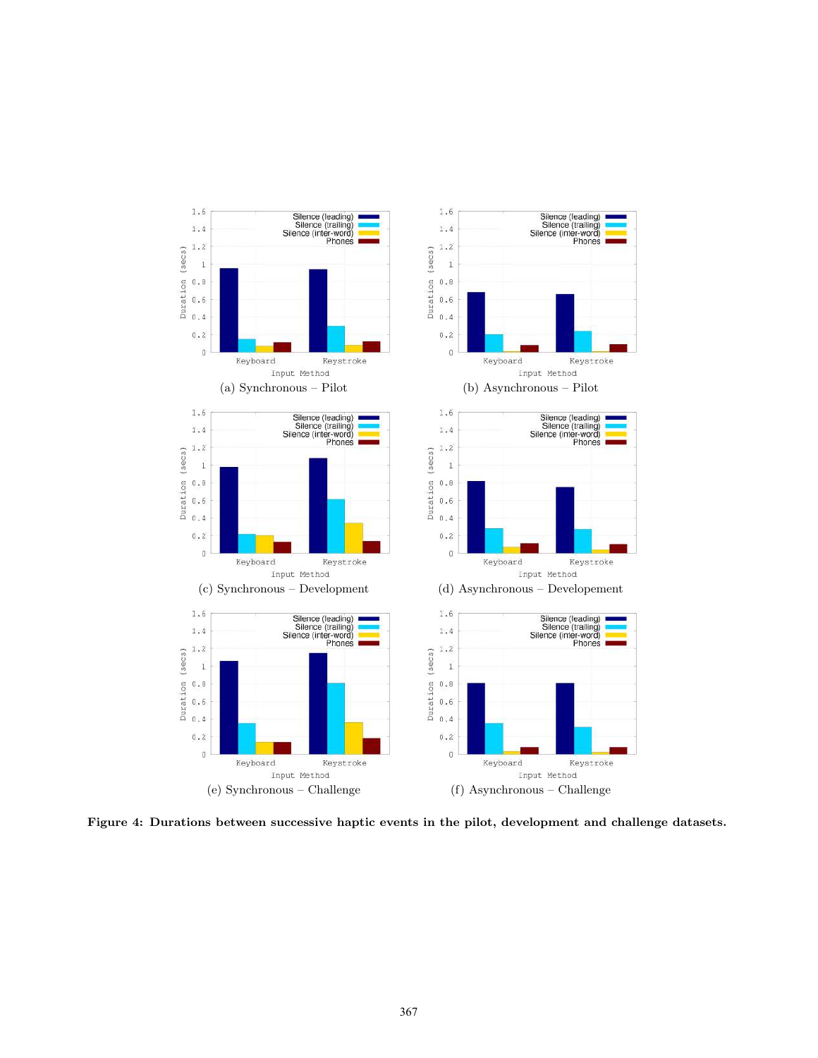

Figure 4: Durations between successive haptic events in the pilot, development and challenge datasets.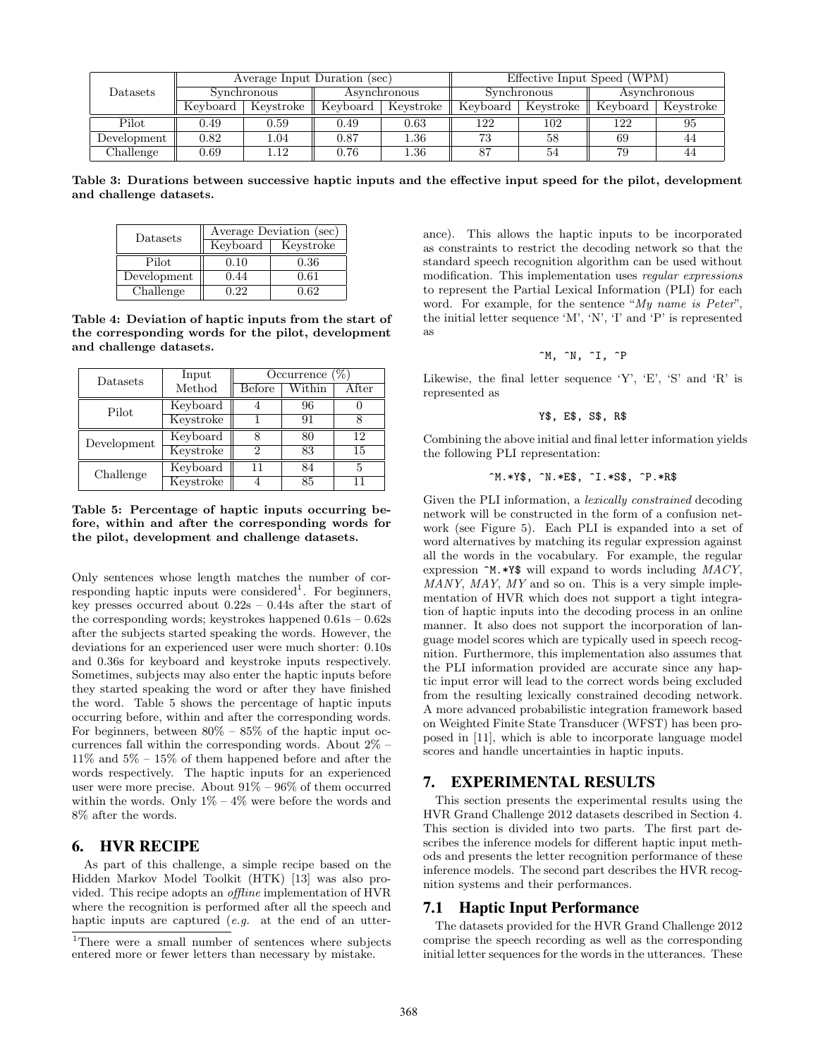|                                              | Average Input Duration (sec) |             |              | Effective Input Speed (WPM) |             |           |              |           |
|----------------------------------------------|------------------------------|-------------|--------------|-----------------------------|-------------|-----------|--------------|-----------|
| $\mathbf{D}\text{at } \text{as } \text{ets}$ |                              | Synchronous | Asynchronous |                             | Synchronous |           | Asynchronous |           |
|                                              | Keyboard                     | Keystroke   | Keyboard     | Keystroke                   | Keyboard    | Keystroke | Keyboard     | Keystroke |
| Pilot                                        | 0.49                         | $0.59\,$    | 0.49         | 0.63                        | 122         | 102       | 122          | 95        |
| Development                                  | 0.82                         | 1.04        | 0.87         | 1.36                        | 73          | 58        | 69           | 44        |
| Challenge                                    | 0.69                         | 1.12        | 0.76         | 1.36                        | 87          | 54        | 79           | 44        |

Table 3: Durations between successive haptic inputs and the effective input speed for the pilot, development and challenge datasets.

| Datasets                      | Average Deviation (sec) |           |  |  |
|-------------------------------|-------------------------|-----------|--|--|
|                               | Keyboard                | Keystroke |  |  |
| Pilot                         | 0.10                    | 0.36      |  |  |
| Development                   | 0.44                    | 0.61      |  |  |
| $\overline{\text{Challenge}}$ | N 22.                   | ገ 62      |  |  |

Table 4: Deviation of haptic inputs from the start of the corresponding words for the pilot, development and challenge datasets.

| Datasets    | Input     | Occurrence $(\%)$ |                         |       |
|-------------|-----------|-------------------|-------------------------|-------|
|             | Method    | Before            | $\operatorname{Within}$ | After |
| Pilot       | Keyboard  |                   | 96                      |       |
|             | Keystroke |                   | 91                      |       |
| Development | Keyboard  |                   | 80                      | 12    |
|             | Keystroke | າ                 | 83                      | 15    |
| Challenge   | Keyboard  | 11                | 84                      |       |
|             | Keystroke |                   | 85                      |       |

Table 5: Percentage of haptic inputs occurring before, within and after the corresponding words for the pilot, development and challenge datasets.

Only sentences whose length matches the number of corresponding haptic inputs were considered<sup>1</sup>. For beginners, key presses occurred about  $0.22s - 0.44s$  after the start of the corresponding words; keystrokes happened 0.61s – 0.62s after the subjects started speaking the words. However, the deviations for an experienced user were much shorter: 0.10s and 0.36s for keyboard and keystroke inputs respectively. Sometimes, subjects may also enter the haptic inputs before they started speaking the word or after they have finished the word. Table 5 shows the percentage of haptic inputs occurring before, within and after the corresponding words. For beginners, between  $80\% - 85\%$  of the haptic input occurrences fall within the corresponding words. About 2% – 11% and 5% – 15% of them happened before and after the words respectively. The haptic inputs for an experienced user were more precise. About  $91\% - 96\%$  of them occurred within the words. Only  $1\% - 4\%$  were before the words and 8% after the words.

#### 6. HVR RECIPE

As part of this challenge, a simple recipe based on the Hidden Markov Model Toolkit (HTK) [13] was also provided. This recipe adopts an offline implementation of HVR where the recognition is performed after all the speech and haptic inputs are captured (*e.g.* at the end of an utterance). This allows the haptic inputs to be incorporated as constraints to restrict the decoding network so that the standard speech recognition algorithm can be used without modification. This implementation uses regular expressions to represent the Partial Lexical Information (PLI) for each word. For example, for the sentence "My name is Peter" the initial letter sequence 'M', 'N', 'I' and 'P' is represented as

 $\cap$ M,  $\cap$ N,  $\cap$ I,  $\cap$ P

Likewise, the final letter sequence 'Y', 'E', 'S' and 'R' is represented as

Y\$, E\$, S\$, R\$

Combining the above initial and final letter information yields the following PLI representation:

^M.\*Y\$, ^N.\*E\$, ^I.\*S\$, ^P.\*R\$

Given the PLI information, a lexically constrained decoding network will be constructed in the form of a confusion network (see Figure 5). Each PLI is expanded into a set of word alternatives by matching its regular expression against all the words in the vocabulary. For example, the regular expression  $\gamma_{\text{M}}$ .\*Y\$ will expand to words including MACY,  $MANY$ ,  $MANY$ ,  $MY$  and so on. This is a very simple implementation of HVR which does not support a tight integration of haptic inputs into the decoding process in an online manner. It also does not support the incorporation of language model scores which are typically used in speech recognition. Furthermore, this implementation also assumes that the PLI information provided are accurate since any haptic input error will lead to the correct words being excluded from the resulting lexically constrained decoding network. A more advanced probabilistic integration framework based on Weighted Finite State Transducer (WFST) has been proposed in [11], which is able to incorporate language model scores and handle uncertainties in haptic inputs.

## 7. EXPERIMENTAL RESULTS

This section presents the experimental results using the HVR Grand Challenge 2012 datasets described in Section 4. This section is divided into two parts. The first part describes the inference models for different haptic input methods and presents the letter recognition performance of these inference models. The second part describes the HVR recognition systems and their performances.

#### 7.1 Haptic Input Performance

The datasets provided for the HVR Grand Challenge 2012 comprise the speech recording as well as the corresponding initial letter sequences for the words in the utterances. These

<sup>&</sup>lt;sup>1</sup>There were a small number of sentences where subjects entered more or fewer letters than necessary by mistake.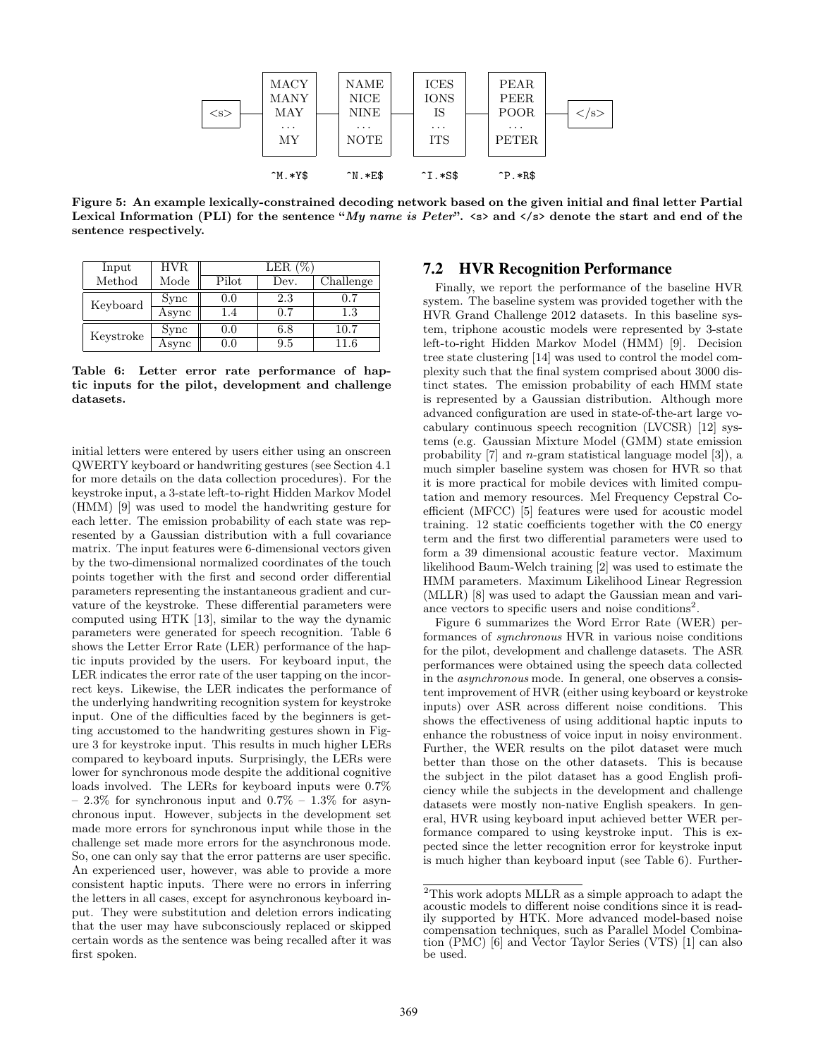

Figure 5: An example lexically-constrained decoding network based on the given initial and final letter Partial Lexical Information (PLI) for the sentence "My name is Peter".  $\langle s \rangle$  and  $\langle s \rangle$  denote the start and end of the sentence respectively.

| Input     | <b>HVR</b> | LER $(y_0)$ |      |           |  |
|-----------|------------|-------------|------|-----------|--|
| Method    | Mode       | Pilot       | Dev. | Challenge |  |
| Keyboard  | Sync       | 0.0         | 2.3  | 0.7       |  |
|           | Async      | 1.4         | 0.7  | $1.3\,$   |  |
| Keystroke | Sync       | 0.0         | 6.8  | 10.7      |  |
|           | Async      | O.U         | 9.5  |           |  |

Table 6: Letter error rate performance of haptic inputs for the pilot, development and challenge datasets.

initial letters were entered by users either using an onscreen QWERTY keyboard or handwriting gestures (see Section 4.1 for more details on the data collection procedures). For the keystroke input, a 3-state left-to-right Hidden Markov Model (HMM) [9] was used to model the handwriting gesture for each letter. The emission probability of each state was represented by a Gaussian distribution with a full covariance matrix. The input features were 6-dimensional vectors given by the two-dimensional normalized coordinates of the touch points together with the first and second order differential parameters representing the instantaneous gradient and curvature of the keystroke. These differential parameters were computed using HTK [13], similar to the way the dynamic parameters were generated for speech recognition. Table 6 shows the Letter Error Rate (LER) performance of the haptic inputs provided by the users. For keyboard input, the LER indicates the error rate of the user tapping on the incorrect keys. Likewise, the LER indicates the performance of the underlying handwriting recognition system for keystroke input. One of the difficulties faced by the beginners is getting accustomed to the handwriting gestures shown in Figure 3 for keystroke input. This results in much higher LERs compared to keyboard inputs. Surprisingly, the LERs were lower for synchronous mode despite the additional cognitive loads involved. The LERs for keyboard inputs were 0.7%  $-2.3\%$  for synchronous input and  $0.7\% - 1.3\%$  for asynchronous input. However, subjects in the development set made more errors for synchronous input while those in the challenge set made more errors for the asynchronous mode. So, one can only say that the error patterns are user specific. An experienced user, however, was able to provide a more consistent haptic inputs. There were no errors in inferring the letters in all cases, except for asynchronous keyboard input. They were substitution and deletion errors indicating that the user may have subconsciously replaced or skipped certain words as the sentence was being recalled after it was first spoken.

#### 7.2 HVR Recognition Performance

Finally, we report the performance of the baseline HVR system. The baseline system was provided together with the HVR Grand Challenge 2012 datasets. In this baseline system, triphone acoustic models were represented by 3-state left-to-right Hidden Markov Model (HMM) [9]. Decision tree state clustering [14] was used to control the model complexity such that the final system comprised about 3000 distinct states. The emission probability of each HMM state is represented by a Gaussian distribution. Although more advanced configuration are used in state-of-the-art large vocabulary continuous speech recognition (LVCSR) [12] systems (e.g. Gaussian Mixture Model (GMM) state emission probability [7] and n-gram statistical language model [3]), a much simpler baseline system was chosen for HVR so that it is more practical for mobile devices with limited computation and memory resources. Mel Frequency Cepstral Coefficient (MFCC) [5] features were used for acoustic model training. 12 static coefficients together with the C0 energy term and the first two differential parameters were used to form a 39 dimensional acoustic feature vector. Maximum likelihood Baum-Welch training [2] was used to estimate the HMM parameters. Maximum Likelihood Linear Regression (MLLR) [8] was used to adapt the Gaussian mean and variance vectors to specific users and noise conditions<sup>2</sup>.

Figure 6 summarizes the Word Error Rate (WER) performances of synchronous HVR in various noise conditions for the pilot, development and challenge datasets. The ASR performances were obtained using the speech data collected in the asynchronous mode. In general, one observes a consistent improvement of HVR (either using keyboard or keystroke inputs) over ASR across different noise conditions. This shows the effectiveness of using additional haptic inputs to enhance the robustness of voice input in noisy environment. Further, the WER results on the pilot dataset were much better than those on the other datasets. This is because the subject in the pilot dataset has a good English proficiency while the subjects in the development and challenge datasets were mostly non-native English speakers. In general, HVR using keyboard input achieved better WER performance compared to using keystroke input. This is expected since the letter recognition error for keystroke input is much higher than keyboard input (see Table 6). Further-

<sup>2</sup>This work adopts MLLR as a simple approach to adapt the acoustic models to different noise conditions since it is readily supported by HTK. More advanced model-based noise compensation techniques, such as Parallel Model Combination (PMC) [6] and Vector Taylor Series (VTS) [1] can also be used.